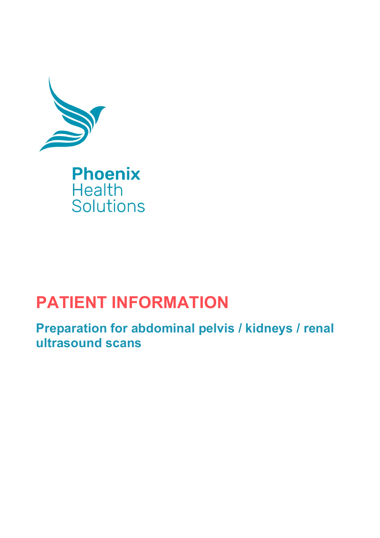

## **PATIENT INFORMATION**

**Preparation for abdominal pelvis / kidneys / renal ultrasound scans**